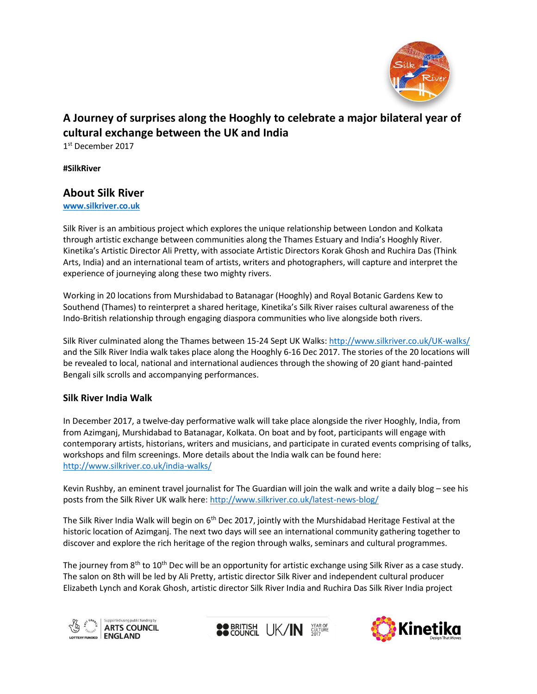

# **A Journey of surprises along the Hooghly to celebrate a major bilateral year of cultural exchange between the UK and India**

1 st December 2017

**#SilkRiver**

## **About Silk River**

**[www.silkriver.co.uk](http://www.silkriver.co.uk/)**

Silk River is an ambitious project which explores the unique relationship between London and Kolkata through artistic exchange between communities along the Thames Estuary and India's Hooghly River. Kinetika's Artistic Director Ali Pretty, with associate Artistic Directors Korak Ghosh and Ruchira Das (Think Arts, India) and an international team of artists, writers and photographers, will capture and interpret the experience of journeying along these two mighty rivers.

Working in 20 locations from Murshidabad to Batanagar (Hooghly) and Royal Botanic Gardens Kew to Southend (Thames) to reinterpret a shared heritage, Kinetika's Silk River raises cultural awareness of the Indo-British relationship through engaging diaspora communities who live alongside both rivers.

Silk River culminated along the Thames between 15-24 Sept UK Walks: <http://www.silkriver.co.uk/UK-walks/> and the Silk River India walk takes place along the Hooghly 6-16 Dec 2017. The stories of the 20 locations will be revealed to local, national and international audiences through the showing of 20 giant hand-painted Bengali silk scrolls and accompanying performances.

### **Silk River India Walk**

In December 2017, a twelve-day performative walk will take place alongside the river Hooghly, India, from from Azimganj, Murshidabad to Batanagar, Kolkata. On boat and by foot, participants will engage with contemporary artists, historians, writers and musicians, and participate in curated events comprising of talks, workshops and film screenings. More details about the India walk can be found here: <http://www.silkriver.co.uk/india-walks/>

Kevin Rushby, an eminent travel journalist for The Guardian will join the walk and write a daily blog – see his posts from the Silk River UK walk here: <http://www.silkriver.co.uk/latest-news-blog/>

The Silk River India Walk will begin on 6<sup>th</sup> Dec 2017, jointly with the Murshidabad Heritage Festival at the historic location of Azimganj. The next two days will see an international community gathering together to discover and explore the rich heritage of the region through walks, seminars and cultural programmes.

The journey from 8<sup>th</sup> to 10<sup>th</sup> Dec will be an opportunity for artistic exchange using Silk River as a case study. The salon on 8th will be led by Ali Pretty, artistic director Silk River and independent cultural producer Elizabeth Lynch and Korak Ghosh, artistic director Silk River India and Ruchira Das Silk River India project





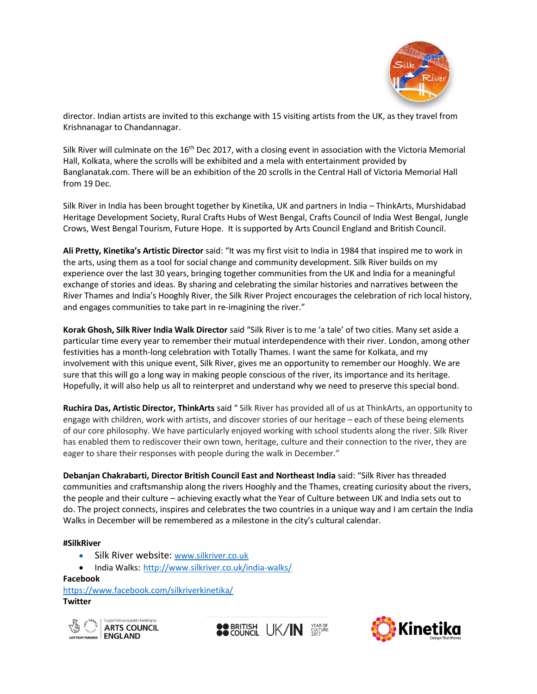

director. Indian artists are invited to this exchange with 15 visiting artists from the UK, as they travel from Krishnanagar to Chandannagar.

Silk River will culminate on the 16<sup>th</sup> Dec 2017, with a closing event in association with the Victoria Memorial Hall, Kolkata, where the scrolls will be exhibited and a mela with entertainment provided by Banglanatak.com. There will be an exhibition of the 20 scrolls in the Central Hall of Victoria Memorial Hall from 19 Dec.

Silk River in India has been brought together by Kinetika, UK and partners in India – ThinkArts, Murshidabad Heritage Development Society, Rural Crafts Hubs of West Bengal, Crafts Council of India West Bengal, Jungle Crows, West Bengal Tourism, Future Hope. It is supported by Arts Council England and British Council.

**Ali Pretty, Kinetika's Artistic Director** said: "It was my first visit to India in 1984 that inspired me to work in the arts, using them as a tool for social change and community development. Silk River builds on my experience over the last 30 years, bringing together communities from the UK and India for a meaningful exchange of stories and ideas. By sharing and celebrating the similar histories and narratives between the River Thames and India's Hooghly River, the Silk River Project encourages the celebration of rich local history, and engages communities to take part in re-imagining the river."

**Korak Ghosh, Silk River India Walk Director** said "Silk River is to me 'a tale' of two cities. Many set aside a particular time every year to remember their mutual interdependence with their river. London, among other festivities has a month-long celebration with Totally Thames. I want the same for Kolkata, and my involvement with this unique event, Silk River, gives me an opportunity to remember our Hooghly. We are sure that this will go a long way in making people conscious of the river, its importance and its heritage. Hopefully, it will also help us all to reinterpret and understand why we need to preserve this special bond.

**Ruchira Das, Artistic Director, ThinkArts** said " Silk River has provided all of us at ThinkArts, an opportunity to engage with children, work with artists, and discover stories of our heritage – each of these being elements of our core philosophy. We have particularly enjoyed working with school students along the river. Silk River has enabled them to rediscover their own town, heritage, culture and their connection to the river, they are eager to share their responses with people during the walk in December."

**Debanjan Chakrabarti, Director British Council East and Northeast India** said: "Silk River has threaded communities and craftsmanship along the rivers Hooghly and the Thames, creating curiosity about the rivers, the people and their culture – achieving exactly what the Year of Culture between UK and India sets out to do. The project connects, inspires and celebrates the two countries in a unique way and I am certain the India Walks in December will be remembered as a milestone in the city's cultural calendar.

#### **#SilkRiver**

- Silk River website: [www.silkriver.co.uk](http://www.silkriver.co.uk/)
- India Walks: <http://www.silkriver.co.uk/india-walks/>

#### **Facebook**

<https://www.facebook.com/silkriverkinetika/> **Twitter**